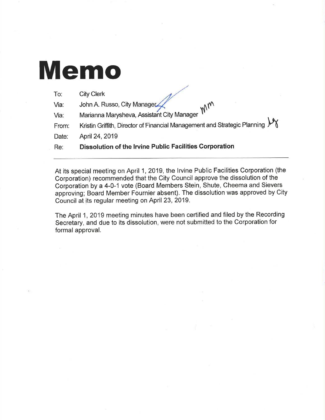# Memo

| Re:   | <b>Dissolution of the Irvine Public Facilities Corporation</b>              |
|-------|-----------------------------------------------------------------------------|
| Date: | April 24, 2019                                                              |
| From: | Kristin Griffith, Director of Financial Management and Strategic Planning V |
| Via:  | Marianna Marysheva, Assistant City Manager                                  |
| Via:  | John A. Russo, City Manager<br>mm                                           |
| To:   | <b>City Clerk</b>                                                           |

At its special meeting on April 1,2019, the lrvine Public Facilities Corporation (the Corporation) recommended that the City Council approve the dissolution of the Corporation by a 4-0-1 vote (Board Members Stein, Shute, Cheema and Sievers approving; Board Member Fournier absent). The dissolution was approved by City Council at its regular meeting on April 23,2019.

The April 1,2019 meeting minutes have been certified and filed by the Recording Secretary, and due to its dissolution, were not submitted to the Corporation for formal approval.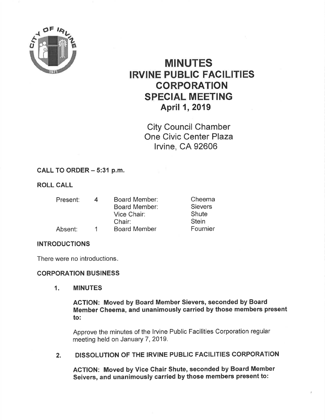

# MINUTES IRVINE PUBLIC FACILITIES CORPORATION SPECIAL MEETING April 1, 2019

City Council Chamber One Civic Center Plaza lrvine, CA 92606

## CALL TO ORDER - 5:31 p.m.

## ROLL CALL

| Present: | <b>Board Member:</b> | Cheema         |
|----------|----------------------|----------------|
|          | <b>Board Member:</b> | <b>Sievers</b> |
|          | Vice Chair:          | Shute          |
|          | Chair:               | <b>Stein</b>   |
| Absent:  | <b>Board Member</b>  | Fournier       |

#### **INTRODUCTIONS**

There were no introductions

#### CORPORATION BUSINESS

1. MINUTES

AGTION: Moved by Board Member Sievers, seconded by Board Member Cheema, and unanimously carried by those members present to:

Approve the minutes of the lrvine Public Facilities Corporation regular meeting held on January 7, 2019.

2. DISSOLUTION OF THE IRVINE PUBLIC FACILITIES CORPORATION

AGTION: Moved by Vice Ghair Shute, seconded by Board Member Seivers, and unanimously carried by those members present to: